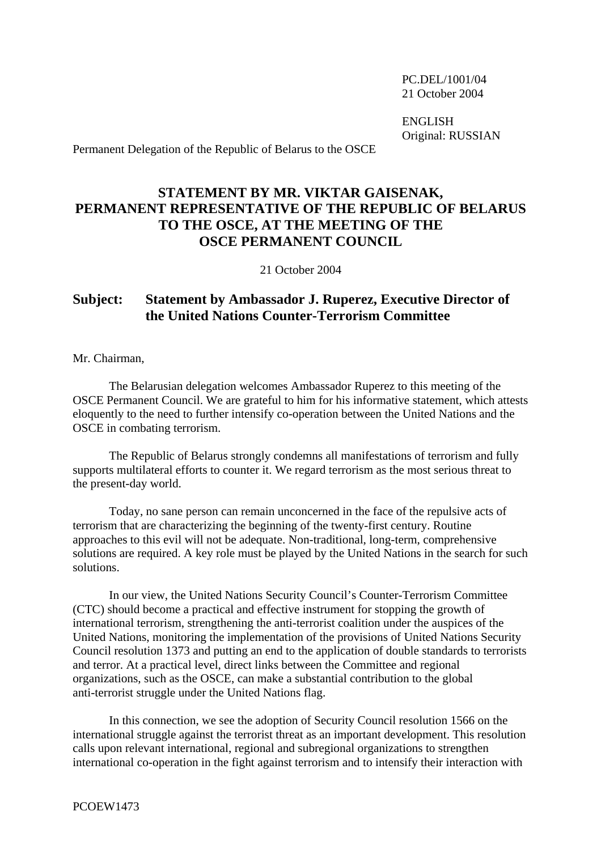PC.DEL/1001/04 21 October 2004

 ENGLISH Original: RUSSIAN

Permanent Delegation of the Republic of Belarus to the OSCE

## **STATEMENT BY MR. VIKTAR GAISENAK, PERMANENT REPRESENTATIVE OF THE REPUBLIC OF BELARUS TO THE OSCE, AT THE MEETING OF THE OSCE PERMANENT COUNCIL**

21 October 2004

## **Subject: Statement by Ambassador J. Ruperez, Executive Director of the United Nations Counter-Terrorism Committee**

Mr. Chairman,

 The Belarusian delegation welcomes Ambassador Ruperez to this meeting of the OSCE Permanent Council. We are grateful to him for his informative statement, which attests eloquently to the need to further intensify co-operation between the United Nations and the OSCE in combating terrorism.

 The Republic of Belarus strongly condemns all manifestations of terrorism and fully supports multilateral efforts to counter it. We regard terrorism as the most serious threat to the present-day world.

 Today, no sane person can remain unconcerned in the face of the repulsive acts of terrorism that are characterizing the beginning of the twenty-first century. Routine approaches to this evil will not be adequate. Non-traditional, long-term, comprehensive solutions are required. A key role must be played by the United Nations in the search for such solutions.

 In our view, the United Nations Security Council's Counter-Terrorism Committee (CTC) should become a practical and effective instrument for stopping the growth of international terrorism, strengthening the anti-terrorist coalition under the auspices of the United Nations, monitoring the implementation of the provisions of United Nations Security Council resolution 1373 and putting an end to the application of double standards to terrorists and terror. At a practical level, direct links between the Committee and regional organizations, such as the OSCE, can make a substantial contribution to the global anti-terrorist struggle under the United Nations flag.

 In this connection, we see the adoption of Security Council resolution 1566 on the international struggle against the terrorist threat as an important development. This resolution calls upon relevant international, regional and subregional organizations to strengthen international co-operation in the fight against terrorism and to intensify their interaction with